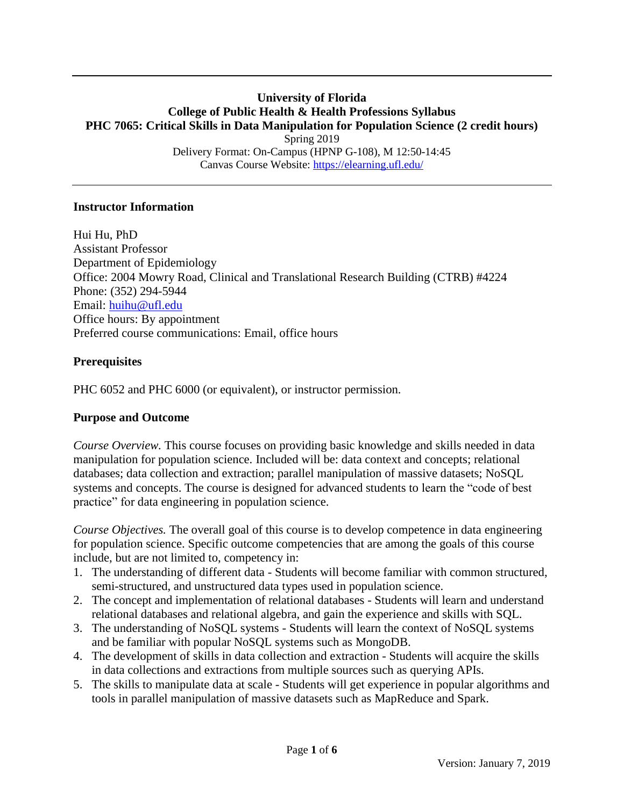### **University of Florida College of Public Health & Health Professions Syllabus PHC 7065: Critical Skills in Data Manipulation for Population Science (2 credit hours)** Spring 2019 Delivery Format: On-Campus (HPNP G-108), M 12:50-14:45 Canvas Course Website:<https://elearning.ufl.edu/>

### **Instructor Information**

Hui Hu, PhD Assistant Professor Department of Epidemiology Office: 2004 Mowry Road, Clinical and Translational Research Building (CTRB) #4224 Phone: (352) 294-5944 Email: [huihu@ufl.edu](mailto:huihu@ufl.edu) Office hours: By appointment Preferred course communications: Email, office hours

### **Prerequisites**

PHC 6052 and PHC 6000 (or equivalent), or instructor permission.

### **Purpose and Outcome**

*Course Overview.* This course focuses on providing basic knowledge and skills needed in data manipulation for population science. Included will be: data context and concepts; relational databases; data collection and extraction; parallel manipulation of massive datasets; NoSQL systems and concepts. The course is designed for advanced students to learn the "code of best practice" for data engineering in population science.

*Course Objectives.* The overall goal of this course is to develop competence in data engineering for population science. Specific outcome competencies that are among the goals of this course include, but are not limited to, competency in:

- 1. The understanding of different data Students will become familiar with common structured, semi-structured, and unstructured data types used in population science.
- 2. The concept and implementation of relational databases Students will learn and understand relational databases and relational algebra, and gain the experience and skills with SQL.
- 3. The understanding of NoSQL systems Students will learn the context of NoSQL systems and be familiar with popular NoSQL systems such as MongoDB.
- 4. The development of skills in data collection and extraction Students will acquire the skills in data collections and extractions from multiple sources such as querying APIs.
- 5. The skills to manipulate data at scale Students will get experience in popular algorithms and tools in parallel manipulation of massive datasets such as MapReduce and Spark.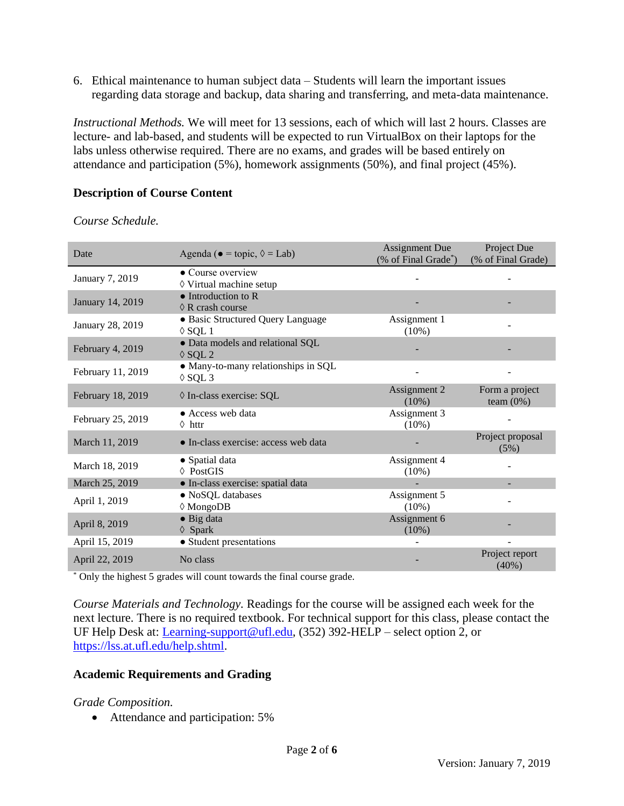6. Ethical maintenance to human subject data – Students will learn the important issues regarding data storage and backup, data sharing and transferring, and meta-data maintenance.

*Instructional Methods.* We will meet for 13 sessions, each of which will last 2 hours. Classes are lecture- and lab-based, and students will be expected to run VirtualBox on their laptops for the labs unless otherwise required. There are no exams, and grades will be based entirely on attendance and participation (5%), homework assignments (50%), and final project (45%).

## **Description of Course Content**

| Date              | Agenda ( $\bullet$ = topic, $\Diamond$ = Lab)            | <b>Assignment Due</b><br>(% of Final Grade*) | Project Due<br>(% of Final Grade) |  |
|-------------------|----------------------------------------------------------|----------------------------------------------|-----------------------------------|--|
| January 7, 2019   | • Course overview<br>◊ Virtual machine setup             |                                              |                                   |  |
| January 14, 2019  | $\bullet$ Introduction to R<br>$\Diamond$ R crash course |                                              |                                   |  |
| January 28, 2019  | · Basic Structured Query Language<br>$\Diamond$ SQL 1    | Assignment 1<br>$(10\%)$                     |                                   |  |
| February 4, 2019  | · Data models and relational SQL<br>$\Diamond$ SOL 2     |                                              |                                   |  |
| February 11, 2019 | • Many-to-many relationships in SQL<br>$\lozenge$ SQL 3  |                                              |                                   |  |
| February 18, 2019 | ◊ In-class exercise: SQL                                 | Assignment 2<br>$(10\%)$                     | Form a project<br>team $(0\%)$    |  |
| February 25, 2019 | • Access web data<br>$\Diamond$ httr                     | Assignment 3<br>$(10\%)$                     |                                   |  |
| March 11, 2019    | • In-class exercise: access web data                     |                                              | Project proposal<br>(5%)          |  |
| March 18, 2019    | • Spatial data<br>$\lozenge$ PostGIS                     | Assignment 4<br>$(10\%)$                     |                                   |  |
| March 25, 2019    | · In-class exercise: spatial data                        |                                              |                                   |  |
| April 1, 2019     | · NoSQL databases<br>$\Diamond$ MongoDB                  | Assignment 5<br>$(10\%)$                     |                                   |  |
| April 8, 2019     | $\bullet$ Big data<br>$\Diamond$ Spark                   | Assignment 6<br>$(10\%)$                     |                                   |  |
| April 15, 2019    | • Student presentations                                  |                                              |                                   |  |
| April 22, 2019    | No class                                                 |                                              | Project report<br>$(40\%)$        |  |

*Course Schedule.*

\* Only the highest 5 grades will count towards the final course grade.

*Course Materials and Technology.* Readings for the course will be assigned each week for the next lecture. There is no required textbook. For technical support for this class, please contact the UF Help Desk at: [Learning-support@ufl.edu,](mailto:Learning-support@ufl.edu) (352) 392-HELP – select option 2, or [https://lss.at.ufl.edu/help.shtml.](https://lss.at.ufl.edu/help.shtml)

### **Academic Requirements and Grading**

### *Grade Composition.*

• Attendance and participation: 5%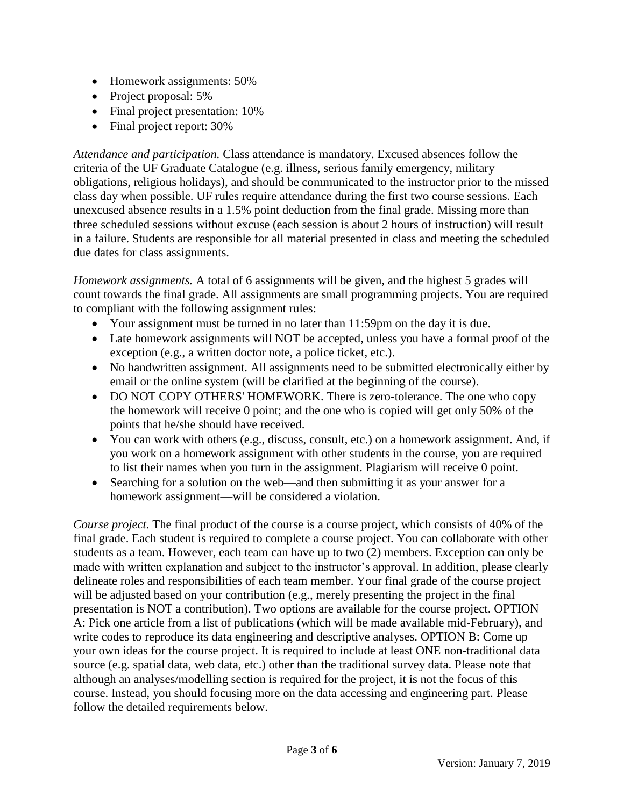- Homework assignments: 50%
- Project proposal: 5%
- Final project presentation: 10%
- Final project report: 30%

*Attendance and participation.* Class attendance is mandatory. Excused absences follow the criteria of the UF Graduate Catalogue (e.g. illness, serious family emergency, military obligations, religious holidays), and should be communicated to the instructor prior to the missed class day when possible. UF rules require attendance during the first two course sessions. Each unexcused absence results in a 1.5% point deduction from the final grade. Missing more than three scheduled sessions without excuse (each session is about 2 hours of instruction) will result in a failure. Students are responsible for all material presented in class and meeting the scheduled due dates for class assignments.

*Homework assignments.* A total of 6 assignments will be given, and the highest 5 grades will count towards the final grade. All assignments are small programming projects. You are required to compliant with the following assignment rules:

- Your assignment must be turned in no later than 11:59pm on the day it is due.
- Late homework assignments will NOT be accepted, unless you have a formal proof of the exception (e.g., a written doctor note, a police ticket, etc.).
- No handwritten assignment. All assignments need to be submitted electronically either by email or the online system (will be clarified at the beginning of the course).
- DO NOT COPY OTHERS' HOMEWORK. There is zero-tolerance. The one who copy the homework will receive 0 point; and the one who is copied will get only 50% of the points that he/she should have received.
- You can work with others (e.g., discuss, consult, etc.) on a homework assignment. And, if you work on a homework assignment with other students in the course, you are required to list their names when you turn in the assignment. Plagiarism will receive 0 point.
- Searching for a solution on the web—and then submitting it as your answer for a homework assignment—will be considered a violation.

*Course project.* The final product of the course is a course project, which consists of 40% of the final grade. Each student is required to complete a course project. You can collaborate with other students as a team. However, each team can have up to two (2) members. Exception can only be made with written explanation and subject to the instructor's approval. In addition, please clearly delineate roles and responsibilities of each team member. Your final grade of the course project will be adjusted based on your contribution (e.g., merely presenting the project in the final presentation is NOT a contribution). Two options are available for the course project. OPTION A: Pick one article from a list of publications (which will be made available mid-February), and write codes to reproduce its data engineering and descriptive analyses. OPTION B: Come up your own ideas for the course project. It is required to include at least ONE non-traditional data source (e.g. spatial data, web data, etc.) other than the traditional survey data. Please note that although an analyses/modelling section is required for the project, it is not the focus of this course. Instead, you should focusing more on the data accessing and engineering part. Please follow the detailed requirements below.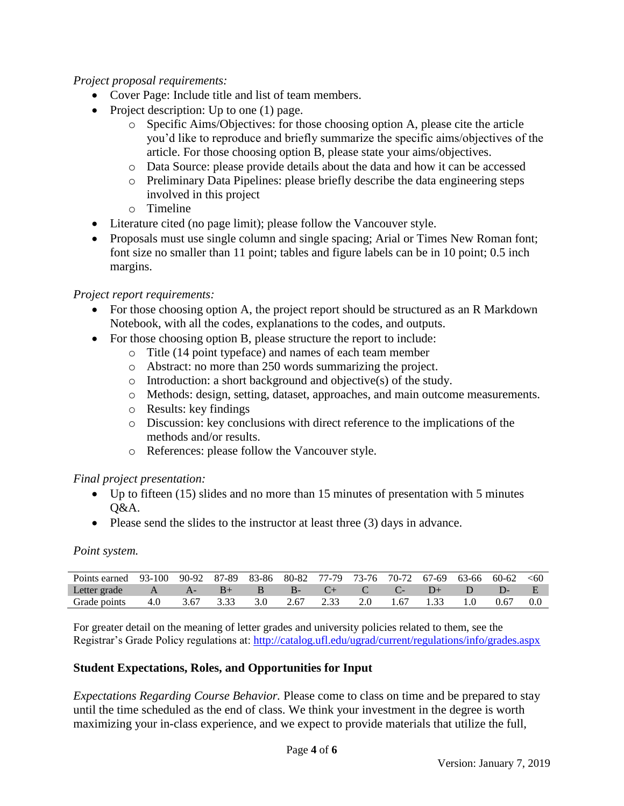# *Project proposal requirements:*

- Cover Page: Include title and list of team members.
- Project description: Up to one  $(1)$  page.
	- o Specific Aims/Objectives: for those choosing option A, please cite the article you'd like to reproduce and briefly summarize the specific aims/objectives of the article. For those choosing option B, please state your aims/objectives.
	- o Data Source: please provide details about the data and how it can be accessed
	- o Preliminary Data Pipelines: please briefly describe the data engineering steps involved in this project
	- o Timeline
- Literature cited (no page limit); please follow the Vancouver style.
- Proposals must use single column and single spacing; Arial or Times New Roman font; font size no smaller than 11 point; tables and figure labels can be in 10 point; 0.5 inch margins.

# *Project report requirements:*

- For those choosing option A, the project report should be structured as an R Markdown Notebook, with all the codes, explanations to the codes, and outputs.
- For those choosing option B, please structure the report to include:
	- o Title (14 point typeface) and names of each team member
	- o Abstract: no more than 250 words summarizing the project.
	- o Introduction: a short background and objective(s) of the study.
	- o Methods: design, setting, dataset, approaches, and main outcome measurements.
	- o Results: key findings
	- o Discussion: key conclusions with direct reference to the implications of the methods and/or results.
	- o References: please follow the Vancouver style.

### *Final project presentation:*

- Up to fifteen (15) slides and no more than 15 minutes of presentation with 5 minutes  $O&A$ .
- Please send the slides to the instructor at least three (3) days in advance.

### *Point system.*

| Points earned 93-100 90-92 87-89 83-86 80-82 77-79 73-76 70-72 67-69 63-66 |     |       |      |     |          |                    |                |      |   | 60-62 | < 60 |
|----------------------------------------------------------------------------|-----|-------|------|-----|----------|--------------------|----------------|------|---|-------|------|
| Letter grade                                                               |     | $A -$ | $B+$ | B   | - R- - - | $\left($ $\right)$ | $\overline{C}$ |      | 1 |       |      |
| Grade points                                                               | 4.0 | 3.67  |      | 3.0 | 2.67     |                    |                | 1.67 |   | 0.67  |      |

For greater detail on the meaning of letter grades and university policies related to them, see the Registrar's Grade Policy regulations at:<http://catalog.ufl.edu/ugrad/current/regulations/info/grades.aspx>

# **Student Expectations, Roles, and Opportunities for Input**

*Expectations Regarding Course Behavior.* Please come to class on time and be prepared to stay until the time scheduled as the end of class. We think your investment in the degree is worth maximizing your in-class experience, and we expect to provide materials that utilize the full,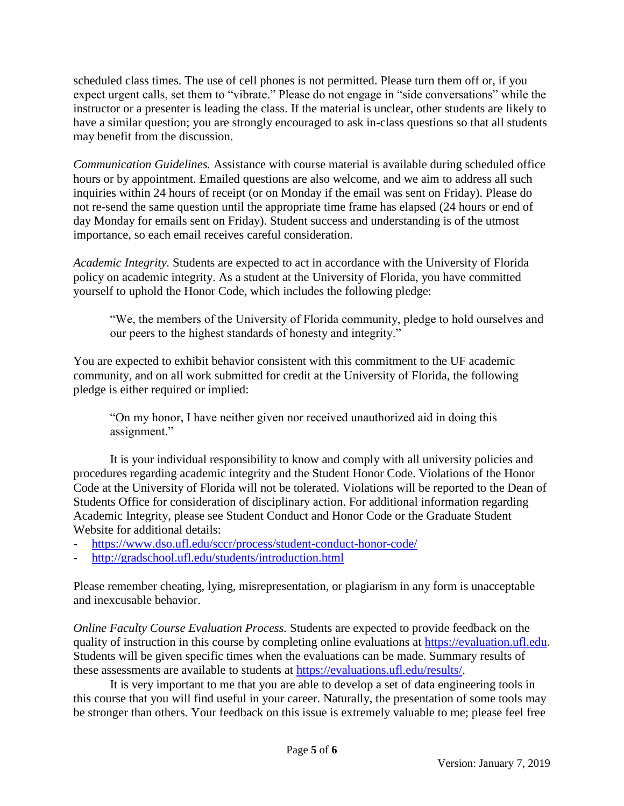scheduled class times. The use of cell phones is not permitted. Please turn them off or, if you expect urgent calls, set them to "vibrate." Please do not engage in "side conversations" while the instructor or a presenter is leading the class. If the material is unclear, other students are likely to have a similar question; you are strongly encouraged to ask in-class questions so that all students may benefit from the discussion.

*Communication Guidelines.* Assistance with course material is available during scheduled office hours or by appointment. Emailed questions are also welcome, and we aim to address all such inquiries within 24 hours of receipt (or on Monday if the email was sent on Friday). Please do not re-send the same question until the appropriate time frame has elapsed (24 hours or end of day Monday for emails sent on Friday). Student success and understanding is of the utmost importance, so each email receives careful consideration.

*Academic Integrity.* Students are expected to act in accordance with the University of Florida policy on academic integrity. As a student at the University of Florida, you have committed yourself to uphold the Honor Code, which includes the following pledge:

"We, the members of the University of Florida community, pledge to hold ourselves and our peers to the highest standards of honesty and integrity."

You are expected to exhibit behavior consistent with this commitment to the UF academic community, and on all work submitted for credit at the University of Florida, the following pledge is either required or implied:

"On my honor, I have neither given nor received unauthorized aid in doing this assignment."

It is your individual responsibility to know and comply with all university policies and procedures regarding academic integrity and the Student Honor Code. Violations of the Honor Code at the University of Florida will not be tolerated. Violations will be reported to the Dean of Students Office for consideration of disciplinary action. For additional information regarding Academic Integrity, please see Student Conduct and Honor Code or the Graduate Student Website for additional details:

- <https://www.dso.ufl.edu/sccr/process/student-conduct-honor-code/>
- <http://gradschool.ufl.edu/students/introduction.html>

Please remember cheating, lying, misrepresentation, or plagiarism in any form is unacceptable and inexcusable behavior.

*Online Faculty Course Evaluation Process.* Students are expected to provide feedback on the quality of instruction in this course by completing online evaluations at [https://evaluation.ufl.edu.](https://evaluation.ufl.edu/) Students will be given specific times when the evaluations can be made. Summary results of these assessments are available to students at [https://evaluations.ufl.edu/results/.](https://evaluations.ufl.edu/results/)

It is very important to me that you are able to develop a set of data engineering tools in this course that you will find useful in your career. Naturally, the presentation of some tools may be stronger than others. Your feedback on this issue is extremely valuable to me; please feel free